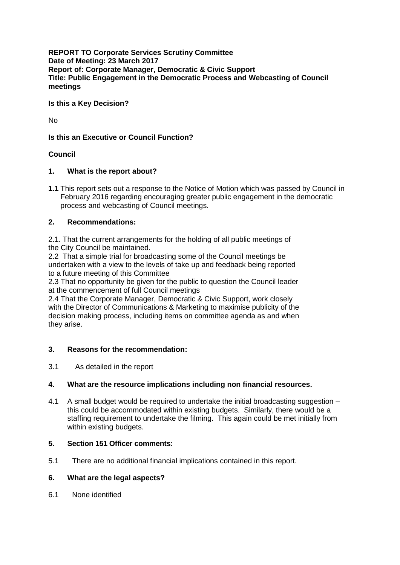**REPORT TO Corporate Services Scrutiny Committee Date of Meeting: 23 March 2017 Report of: Corporate Manager, Democratic & Civic Support Title: Public Engagement in the Democratic Process and Webcasting of Council meetings**

**Is this a Key Decision?** 

No

**Is this an Executive or Council Function?**

# **Council**

## **1. What is the report about?**

**1.1** This report sets out a response to the Notice of Motion which was passed by Council in February 2016 regarding encouraging greater public engagement in the democratic process and webcasting of Council meetings.

## **2. Recommendations:**

2.1. That the current arrangements for the holding of all public meetings of the City Council be maintained.

2.2 That a simple trial for broadcasting some of the Council meetings be undertaken with a view to the levels of take up and feedback being reported to a future meeting of this Committee

2.3 That no opportunity be given for the public to question the Council leader at the commencement of full Council meetings

2.4 That the Corporate Manager, Democratic & Civic Support, work closely with the Director of Communications & Marketing to maximise publicity of the decision making process, including items on committee agenda as and when they arise.

# **3. Reasons for the recommendation:**

3.1 As detailed in the report

# **4. What are the resource implications including non financial resources.**

4.1 A small budget would be required to undertake the initial broadcasting suggestion – this could be accommodated within existing budgets. Similarly, there would be a staffing requirement to undertake the filming. This again could be met initially from within existing budgets.

#### **5. Section 151 Officer comments:**

5.1 There are no additional financial implications contained in this report.

#### **6. What are the legal aspects?**

6.1 None identified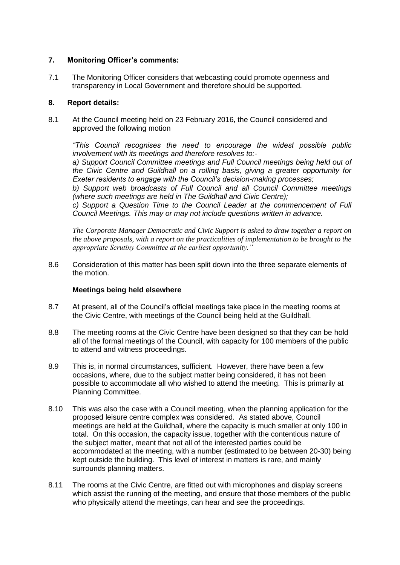## **7. Monitoring Officer's comments:**

7.1 The Monitoring Officer considers that webcasting could promote openness and transparency in Local Government and therefore should be supported.

#### **8. Report details:**

8.1 At the Council meeting held on 23 February 2016, the Council considered and approved the following motion

*"This Council recognises the need to encourage the widest possible public involvement with its meetings and therefore resolves to: a) Support Council Committee meetings and Full Council meetings being held out of the Civic Centre and Guildhall on a rolling basis, giving a greater opportunity for Exeter residents to engage with the Council's decision-making processes; b) Support web broadcasts of Full Council and all Council Committee meetings* 

*(where such meetings are held in The Guildhall and Civic Centre);* 

*c) Support a Question Time to the Council Leader at the commencement of Full Council Meetings. This may or may not include questions written in advance.* 

*The Corporate Manager Democratic and Civic Support is asked to draw together a report on the above proposals, with a report on the practicalities of implementation to be brought to the appropriate Scrutiny Committee at the earliest opportunity."*

8.6 Consideration of this matter has been split down into the three separate elements of the motion.

#### **Meetings being held elsewhere**

- 8.7 At present, all of the Council's official meetings take place in the meeting rooms at the Civic Centre, with meetings of the Council being held at the Guildhall.
- 8.8 The meeting rooms at the Civic Centre have been designed so that they can be hold all of the formal meetings of the Council, with capacity for 100 members of the public to attend and witness proceedings.
- 8.9 This is, in normal circumstances, sufficient. However, there have been a few occasions, where, due to the subject matter being considered, it has not been possible to accommodate all who wished to attend the meeting. This is primarily at Planning Committee.
- 8.10 This was also the case with a Council meeting, when the planning application for the proposed leisure centre complex was considered. As stated above, Council meetings are held at the Guildhall, where the capacity is much smaller at only 100 in total. On this occasion, the capacity issue, together with the contentious nature of the subject matter, meant that not all of the interested parties could be accommodated at the meeting, with a number (estimated to be between 20-30) being kept outside the building. This level of interest in matters is rare, and mainly surrounds planning matters.
- 8.11 The rooms at the Civic Centre, are fitted out with microphones and display screens which assist the running of the meeting, and ensure that those members of the public who physically attend the meetings, can hear and see the proceedings.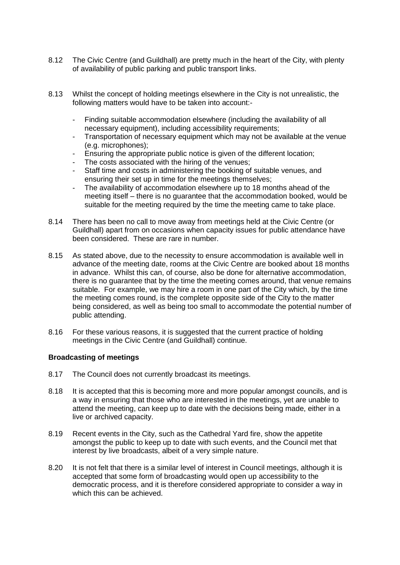- 8.12 The Civic Centre (and Guildhall) are pretty much in the heart of the City, with plenty of availability of public parking and public transport links.
- 8.13 Whilst the concept of holding meetings elsewhere in the City is not unrealistic, the following matters would have to be taken into account:-
	- Finding suitable accommodation elsewhere (including the availability of all necessary equipment), including accessibility requirements;
	- Transportation of necessary equipment which may not be available at the venue (e.g. microphones);
	- Ensuring the appropriate public notice is given of the different location;
	- The costs associated with the hiring of the venues;
	- Staff time and costs in administering the booking of suitable venues, and ensuring their set up in time for the meetings themselves;
	- The availability of accommodation elsewhere up to 18 months ahead of the meeting itself – there is no guarantee that the accommodation booked, would be suitable for the meeting required by the time the meeting came to take place.
- 8.14 There has been no call to move away from meetings held at the Civic Centre (or Guildhall) apart from on occasions when capacity issues for public attendance have been considered. These are rare in number.
- 8.15 As stated above, due to the necessity to ensure accommodation is available well in advance of the meeting date, rooms at the Civic Centre are booked about 18 months in advance. Whilst this can, of course, also be done for alternative accommodation, there is no guarantee that by the time the meeting comes around, that venue remains suitable. For example, we may hire a room in one part of the City which, by the time the meeting comes round, is the complete opposite side of the City to the matter being considered, as well as being too small to accommodate the potential number of public attending.
- 8.16 For these various reasons, it is suggested that the current practice of holding meetings in the Civic Centre (and Guildhall) continue.

#### **Broadcasting of meetings**

- 8.17 The Council does not currently broadcast its meetings.
- 8.18 It is accepted that this is becoming more and more popular amongst councils, and is a way in ensuring that those who are interested in the meetings, yet are unable to attend the meeting, can keep up to date with the decisions being made, either in a live or archived capacity.
- 8.19 Recent events in the City, such as the Cathedral Yard fire, show the appetite amongst the public to keep up to date with such events, and the Council met that interest by live broadcasts, albeit of a very simple nature.
- 8.20 It is not felt that there is a similar level of interest in Council meetings, although it is accepted that some form of broadcasting would open up accessibility to the democratic process, and it is therefore considered appropriate to consider a way in which this can be achieved.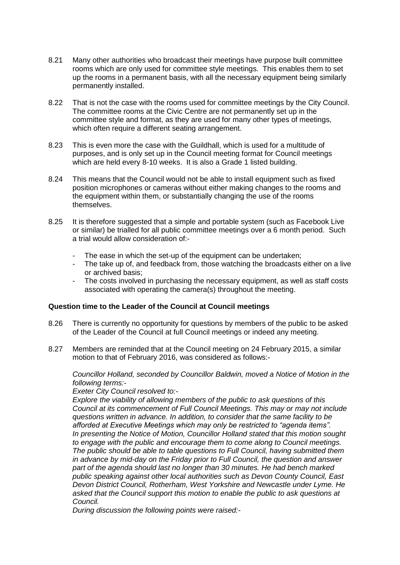- 8.21 Many other authorities who broadcast their meetings have purpose built committee rooms which are only used for committee style meetings. This enables them to set up the rooms in a permanent basis, with all the necessary equipment being similarly permanently installed.
- 8.22 That is not the case with the rooms used for committee meetings by the City Council. The committee rooms at the Civic Centre are not permanently set up in the committee style and format, as they are used for many other types of meetings, which often require a different seating arrangement.
- 8.23 This is even more the case with the Guildhall, which is used for a multitude of purposes, and is only set up in the Council meeting format for Council meetings which are held every 8-10 weeks. It is also a Grade 1 listed building.
- 8.24 This means that the Council would not be able to install equipment such as fixed position microphones or cameras without either making changes to the rooms and the equipment within them, or substantially changing the use of the rooms themselves.
- 8.25 It is therefore suggested that a simple and portable system (such as Facebook Live or similar) be trialled for all public committee meetings over a 6 month period. Such a trial would allow consideration of:-
	- The ease in which the set-up of the equipment can be undertaken;
	- The take up of, and feedback from, those watching the broadcasts either on a live or archived basis;
	- The costs involved in purchasing the necessary equipment, as well as staff costs associated with operating the camera(s) throughout the meeting.

#### **Question time to the Leader of the Council at Council meetings**

- 8.26 There is currently no opportunity for questions by members of the public to be asked of the Leader of the Council at full Council meetings or indeed any meeting.
- 8.27 Members are reminded that at the Council meeting on 24 February 2015, a similar motion to that of February 2016, was considered as follows:-

*Councillor Holland, seconded by Councillor Baldwin, moved a Notice of Motion in the following terms:-*

*Exeter City Council resolved to:-*

*Explore the viability of allowing members of the public to ask questions of this Council at its commencement of Full Council Meetings. This may or may not include questions written in advance. In addition, to consider that the same facility to be afforded at Executive Meetings which may only be restricted to "agenda items". In presenting the Notice of Motion, Councillor Holland stated that this motion sought to engage with the public and encourage them to come along to Council meetings. The public should be able to table questions to Full Council, having submitted them in advance by mid-day on the Friday prior to Full Council, the question and answer part of the agenda should last no longer than 30 minutes. He had bench marked public speaking against other local authorities such as Devon County Council, East Devon District Council, Rotherham, West Yorkshire and Newcastle under Lyme. He asked that the Council support this motion to enable the public to ask questions at Council.* 

*During discussion the following points were raised:-*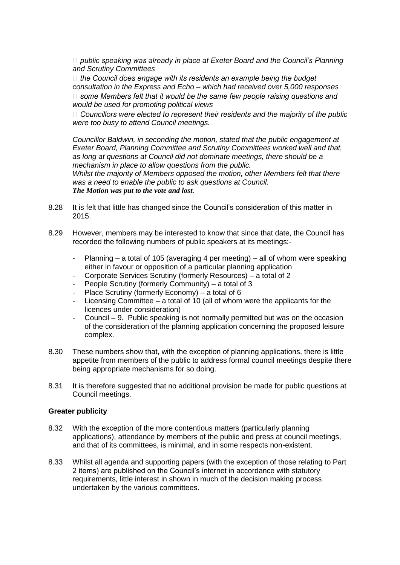□ public speaking was already in place at Exeter Board and the Council's Planning *and Scrutiny Committees* 

 $\Box$  the Council does engage with its residents an example being the budget *consultation in the Express and Echo – which had received over 5,000 responses*   $\Box$  some Members felt that it would be the same few people raising questions and *would be used for promoting political views* 

 $\Box$  Councillors were elected to represent their residents and the majority of the public *were too busy to attend Council meetings.*

*Councillor Baldwin, in seconding the motion, stated that the public engagement at Exeter Board, Planning Committee and Scrutiny Committees worked well and that, as long at questions at Council did not dominate meetings, there should be a mechanism in place to allow questions from the public.* 

*Whilst the majority of Members opposed the motion, other Members felt that there was a need to enable the public to ask questions at Council. The Motion was put to the vote and lost.*

- 8.28 It is felt that little has changed since the Council's consideration of this matter in 2015.
- 8.29 However, members may be interested to know that since that date, the Council has recorded the following numbers of public speakers at its meetings:-
	- Planning a total of 105 (averaging 4 per meeting) all of whom were speaking either in favour or opposition of a particular planning application
	- Corporate Services Scrutiny (formerly Resources) a total of 2
	- People Scrutiny (formerly Community) a total of 3
	- Place Scrutiny (formerly Economy) a total of  $6$
	- Licensing Committee a total of 10 (all of whom were the applicants for the licences under consideration)
	- Council 9. Public speaking is not normally permitted but was on the occasion of the consideration of the planning application concerning the proposed leisure complex.
- 8.30 These numbers show that, with the exception of planning applications, there is little appetite from members of the public to address formal council meetings despite there being appropriate mechanisms for so doing.
- 8.31 It is therefore suggested that no additional provision be made for public questions at Council meetings.

#### **Greater publicity**

- 8.32 With the exception of the more contentious matters (particularly planning applications), attendance by members of the public and press at council meetings, and that of its committees, is minimal, and in some respects non-existent.
- 8.33 Whilst all agenda and supporting papers (with the exception of those relating to Part 2 items) are published on the Council's internet in accordance with statutory requirements, little interest in shown in much of the decision making process undertaken by the various committees.